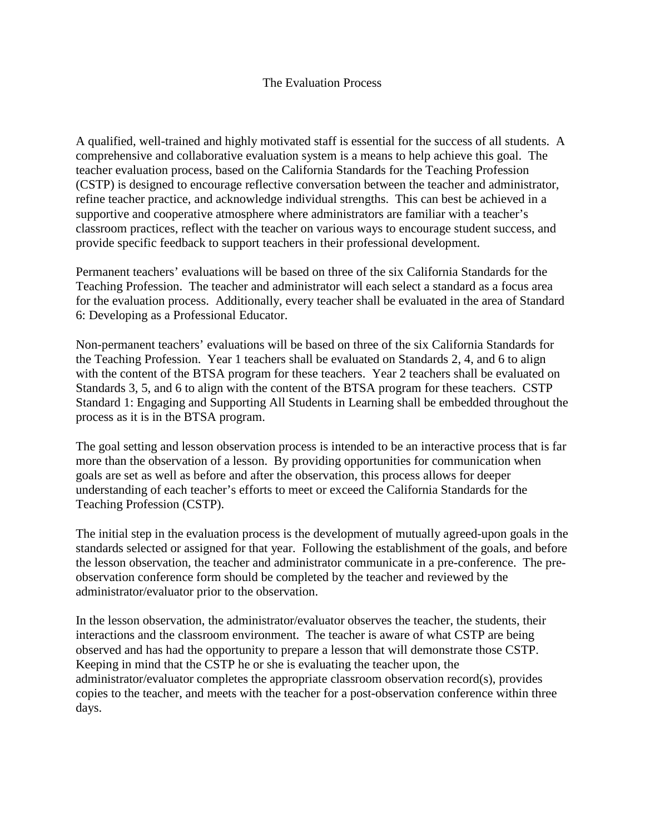## The Evaluation Process

A qualified, well-trained and highly motivated staff is essential for the success of all students. A comprehensive and collaborative evaluation system is a means to help achieve this goal. The teacher evaluation process, based on the California Standards for the Teaching Profession (CSTP) is designed to encourage reflective conversation between the teacher and administrator, refine teacher practice, and acknowledge individual strengths. This can best be achieved in a supportive and cooperative atmosphere where administrators are familiar with a teacher's classroom practices, reflect with the teacher on various ways to encourage student success, and provide specific feedback to support teachers in their professional development.

Permanent teachers' evaluations will be based on three of the six California Standards for the Teaching Profession. The teacher and administrator will each select a standard as a focus area for the evaluation process. Additionally, every teacher shall be evaluated in the area of Standard 6: Developing as a Professional Educator.

Non-permanent teachers' evaluations will be based on three of the six California Standards for the Teaching Profession. Year 1 teachers shall be evaluated on Standards 2, 4, and 6 to align with the content of the BTSA program for these teachers. Year 2 teachers shall be evaluated on Standards 3, 5, and 6 to align with the content of the BTSA program for these teachers. CSTP Standard 1: Engaging and Supporting All Students in Learning shall be embedded throughout the process as it is in the BTSA program.

The goal setting and lesson observation process is intended to be an interactive process that is far more than the observation of a lesson. By providing opportunities for communication when goals are set as well as before and after the observation, this process allows for deeper understanding of each teacher's efforts to meet or exceed the California Standards for the Teaching Profession (CSTP).

The initial step in the evaluation process is the development of mutually agreed-upon goals in the standards selected or assigned for that year. Following the establishment of the goals, and before the lesson observation, the teacher and administrator communicate in a pre-conference. The preobservation conference form should be completed by the teacher and reviewed by the administrator/evaluator prior to the observation.

In the lesson observation, the administrator/evaluator observes the teacher, the students, their interactions and the classroom environment. The teacher is aware of what CSTP are being observed and has had the opportunity to prepare a lesson that will demonstrate those CSTP. Keeping in mind that the CSTP he or she is evaluating the teacher upon, the administrator/evaluator completes the appropriate classroom observation record(s), provides copies to the teacher, and meets with the teacher for a post-observation conference within three days.